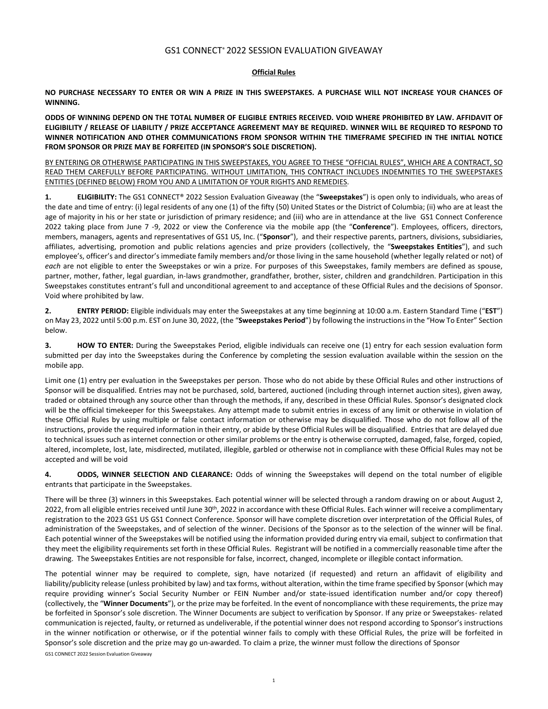## GS1 CONNECT® 2022 SESSION EVALUATION GIVEAWAY

## **Official Rules**

**NO PURCHASE NECESSARY TO ENTER OR WIN A PRIZE IN THIS SWEEPSTAKES. A PURCHASE WILL NOT INCREASE YOUR CHANCES OF WINNING.**

**ODDS OF WINNING DEPEND ON THE TOTAL NUMBER OF ELIGIBLE ENTRIES RECEIVED. VOID WHERE PROHIBITED BY LAW. AFFIDAVIT OF ELIGIBILITY / RELEASE OF LIABILITY / PRIZE ACCEPTANCE AGREEMENT MAY BE REQUIRED. WINNER WILL BE REQUIRED TO RESPOND TO WINNER NOTIFICATION AND OTHER COMMUNICATIONS FROM SPONSOR WITHIN THE TIMEFRAME SPECIFIED IN THE INITIAL NOTICE FROM SPONSOR OR PRIZE MAY BE FORFEITED (IN SPONSOR'S SOLE DISCRETION).**

BY ENTERING OR OTHERWISE PARTICIPATING IN THIS SWEEPSTAKES, YOU AGREE TO THESE "OFFICIAL RULES", WHICH ARE A CONTRACT, SO READ THEM CAREFULLY BEFORE PARTICIPATING. WITHOUT LIMITATION, THIS CONTRACT INCLUDES INDEMNITIES TO THE SWEEPSTAKES ENTITIES (DEFINED BELOW) FROM YOU AND A LIMITATION OF YOUR RIGHTS AND REMEDIES.

**1. ELIGIBILITY:** The GS1 CONNECT® 2022 Session Evaluation Giveaway (the "**Sweepstakes**") is open only to individuals, who areas of the date and time of entry: (i) legal residents of any one (1) of the fifty (50) United States or the District of Columbia; (ii) who are at least the age of majority in his or her state or jurisdiction of primary residence; and (iii) who are in attendance at the live GS1 Connect Conference 2022 taking place from June 7 -9, 2022 or view the Conference via the mobile app (the "**Conference**"). Employees, officers, directors, members, managers, agents and representatives of GS1 US, Inc. ("**Sponsor**"), and their respective parents, partners, divisions, subsidiaries, affiliates, advertising, promotion and public relations agencies and prize providers (collectively, the "**Sweepstakes Entities**"), and such employee's, officer's and director's immediate family members and/or those living in the same household (whether legally related or not) of *each* are not eligible to enter the Sweepstakes or win a prize. For purposes of this Sweepstakes, family members are defined as spouse, partner, mother, father, legal guardian, in-laws grandmother, grandfather, brother, sister, children and grandchildren. Participation in this Sweepstakes constitutes entrant's full and unconditional agreement to and acceptance of these Official Rules and the decisions of Sponsor. Void where prohibited by law.

**2. ENTRY PERIOD:** Eligible individuals may enter the Sweepstakes at any time beginning at 10:00 a.m. Eastern Standard Time ("**EST**") on May 23, 2022 until 5:00 p.m. EST on June 30, 2022, (the "**Sweepstakes Period**") by following the instructionsin the "How To Enter" Section below.

**3. HOW TO ENTER:** During the Sweepstakes Period, eligible individuals can receive one (1) entry for each session evaluation form submitted per day into the Sweepstakes during the Conference by completing the session evaluation available within the session on the mobile app.

Limit one (1) entry per evaluation in the Sweepstakes per person. Those who do not abide by these Official Rules and other instructions of Sponsor will be disqualified. Entries may not be purchased, sold, bartered, auctioned (including through internet auction sites), given away, traded or obtained through any source other than through the methods, if any, described in these Official Rules. Sponsor's designated clock will be the official timekeeper for this Sweepstakes. Any attempt made to submit entries in excess of any limit or otherwise in violation of these Official Rules by using multiple or false contact information or otherwise may be disqualified. Those who do not follow all of the instructions, provide the required information in their entry, or abide by these Official Rules will be disqualified. Entries that are delayed due to technical issues such as internet connection or other similar problems or the entry is otherwise corrupted, damaged, false, forged, copied, altered, incomplete, lost, late, misdirected, mutilated, illegible, garbled or otherwise not in compliance with these Official Rules may not be accepted and will be void

**4. ODDS, WINNER SELECTION AND CLEARANCE:** Odds of winning the Sweepstakes will depend on the total number of eligible entrants that participate in the Sweepstakes.

There will be three (3) winners in this Sweepstakes. Each potential winner will be selected through a random drawing on or about August 2, 2022, from all eligible entries received until June 30<sup>th</sup>, 2022 in accordance with these Official Rules. Each winner will receive a complimentary registration to the 2023 GS1 US GS1 Connect Conference. Sponsor will have complete discretion over interpretation of the Official Rules, of administration of the Sweepstakes, and of selection of the winner. Decisions of the Sponsor as to the selection of the winner will be final. Each potential winner of the Sweepstakes will be notified using the information provided during entry via email, subject to confirmation that they meet the eligibility requirements set forth in these Official Rules. Registrant will be notified in a commercially reasonable time after the drawing. The Sweepstakes Entities are not responsible for false, incorrect, changed, incomplete or illegible contact information.

The potential winner may be required to complete, sign, have notarized (if requested) and return an affidavit of eligibility and liability/publicity release (unless prohibited by law) and tax forms, without alteration, within the time frame specified by Sponsor (which may require providing winner's Social Security Number or FEIN Number and/or state-issued identification number and/or copy thereof) (collectively, the "**Winner Documents**"), or the prize may be forfeited. In the event of noncompliance with these requirements, the prize may be forfeited in Sponsor's sole discretion. The Winner Documents are subject to verification by Sponsor. If any prize or Sweepstakes- related communication is rejected, faulty, or returned as undeliverable, if the potential winner does not respond according to Sponsor's instructions in the winner notification or otherwise, or if the potential winner fails to comply with these Official Rules, the prize will be forfeited in Sponsor's sole discretion and the prize may go un-awarded. To claim a prize, the winner must follow the directions of Sponsor

GS1 CONNECT 2022 Session Evaluation Giveaway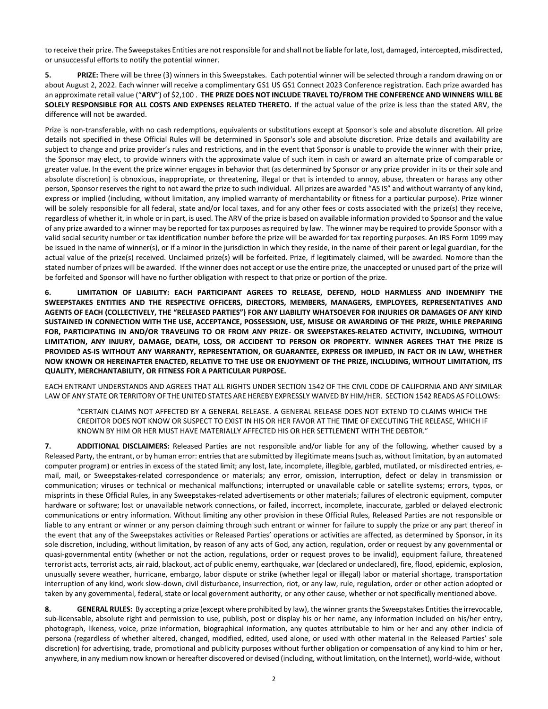to receive their prize. The Sweepstakes Entities are not responsible for and shall not be liable for late, lost, damaged, intercepted, misdirected, or unsuccessful efforts to notify the potential winner.

**5. PRIZE:** There will be three (3) winners in this Sweepstakes. Each potential winner will be selected through a random drawing on or about August 2, 2022. Each winner will receive a complimentary GS1 US GS1 Connect 2023 Conference registration. Each prize awarded has an approximate retail value ("**ARV**") of \$2,100 . **THE PRIZE DOES NOT INCLUDE TRAVEL TO/FROM THE CONFERENCE AND WINNERS WILL BE SOLELY RESPONSIBLE FOR ALL COSTS AND EXPENSES RELATED THERETO.** If the actual value of the prize is less than the stated ARV, the difference will not be awarded.

Prize is non-transferable, with no cash redemptions, equivalents or substitutions except at Sponsor's sole and absolute discretion. All prize details not specified in these Official Rules will be determined in Sponsor's sole and absolute discretion. Prize details and availability are subject to change and prize provider's rules and restrictions, and in the event that Sponsor is unable to provide the winner with their prize, the Sponsor may elect, to provide winners with the approximate value of such item in cash or award an alternate prize of comparable or greater value. In the event the prize winner engages in behavior that (as determined by Sponsor or any prize provider in its or their sole and absolute discretion) is obnoxious, inappropriate, or threatening, illegal or that is intended to annoy, abuse, threaten or harass any other person, Sponsor reserves the right to not award the prize to such individual. All prizes are awarded "AS IS" and without warranty of any kind, express or implied (including, without limitation, any implied warranty of merchantability or fitness for a particular purpose). Prize winner will be solely responsible for all federal, state and/or local taxes, and for any other fees or costs associated with the prize(s) they receive, regardless of whether it, in whole or in part, is used. The ARV of the prize is based on available information provided to Sponsor and the value of any prize awarded to a winner may be reported for tax purposes asrequired by law. The winner may be required to provide Sponsor with a valid social security number or tax identification number before the prize will be awarded for tax reporting purposes. An IRS Form 1099 may be issued in the name of winner(s), or if a minor in the jurisdiction in which they reside, in the name of their parent or legal guardian, for the actual value of the prize(s) received. Unclaimed prize(s) will be forfeited. Prize, if legitimately claimed, will be awarded. Nomore than the stated number of prizes will be awarded. If the winner does not accept or use the entire prize, the unaccepted or unused part of the prize will be forfeited and Sponsor will have no further obligation with respect to that prize or portion of the prize.

**6. LIMITATION OF LIABILITY: EACH PARTICIPANT AGREES TO RELEASE, DEFEND, HOLD HARMLESS AND INDEMNIFY THE SWEEPSTAKES ENTITIES AND THE RESPECTIVE OFFICERS, DIRECTORS, MEMBERS, MANAGERS, EMPLOYEES, REPRESENTATIVES AND AGENTS OF EACH (COLLECTIVELY, THE "RELEASED PARTIES") FOR ANY LIABILITY WHATSOEVER FOR INJURIES OR DAMAGES OF ANY KIND SUSTAINED IN CONNECTION WITH THE USE, ACCEPTANCE, POSSESSION, USE, MISUSE OR AWARDING OF THE PRIZE, WHILE PREPARING FOR, PARTICIPATING IN AND/OR TRAVELING TO OR FROM ANY PRIZE- OR SWEEPSTAKES-RELATED ACTIVITY, INCLUDING, WITHOUT LIMITATION, ANY INJURY, DAMAGE, DEATH, LOSS, OR ACCIDENT TO PERSON OR PROPERTY. WINNER AGREES THAT THE PRIZE IS PROVIDED AS-IS WITHOUT ANY WARRANTY, REPRESENTATION, OR GUARANTEE, EXPRESS OR IMPLIED, IN FACT OR IN LAW, WHETHER NOW KNOWN OR HEREINAFTER ENACTED, RELATIVE TO THE USE OR ENJOYMENT OF THE PRIZE, INCLUDING, WITHOUT LIMITATION, ITS QUALITY, MERCHANTABILITY, OR FITNESS FOR A PARTICULAR PURPOSE.**

EACH ENTRANT UNDERSTANDS AND AGREES THAT ALL RIGHTS UNDER SECTION 1542 OF THE CIVIL CODE OF CALIFORNIA AND ANY SIMILAR LAW OF ANY STATE OR TERRITORY OF THE UNITED STATES ARE HEREBY EXPRESSLY WAIVED BY HIM/HER. SECTION 1542 READS AS FOLLOWS:

"CERTAIN CLAIMS NOT AFFECTED BY A GENERAL RELEASE. A GENERAL RELEASE DOES NOT EXTEND TO CLAIMS WHICH THE CREDITOR DOES NOT KNOW OR SUSPECT TO EXIST IN HIS OR HER FAVOR AT THE TIME OF EXECUTING THE RELEASE, WHICH IF KNOWN BY HIM OR HER MUST HAVE MATERIALLY AFFECTED HIS OR HER SETTLEMENT WITH THE DEBTOR."

**7. ADDITIONAL DISCLAIMERS:** Released Parties are not responsible and/or liable for any of the following, whether caused by a Released Party, the entrant, or by human error: entries that are submitted by illegitimate means (such as, without limitation, by an automated computer program) or entries in excess of the stated limit; any lost, late, incomplete, illegible, garbled, mutilated, or misdirected entries, email, mail, or Sweepstakes-related correspondence or materials; any error, omission, interruption, defect or delay in transmission or communication; viruses or technical or mechanical malfunctions; interrupted or unavailable cable or satellite systems; errors, typos, or misprints in these Official Rules, in any Sweepstakes-related advertisements or other materials; failures of electronic equipment, computer hardware or software; lost or unavailable network connections, or failed, incorrect, incomplete, inaccurate, garbled or delayed electronic communications or entry information. Without limiting any other provision in these Official Rules, Released Parties are not responsible or liable to any entrant or winner or any person claiming through such entrant or winner for failure to supply the prize or any part thereof in the event that any of the Sweepstakes activities or Released Parties' operations or activities are affected, as determined by Sponsor, in its sole discretion, including, without limitation, by reason of any acts of God, any action, regulation, order or request by any governmental or quasi-governmental entity (whether or not the action, regulations, order or request proves to be invalid), equipment failure, threatened terrorist acts, terrorist acts, air raid, blackout, act of public enemy, earthquake, war (declared or undeclared), fire, flood, epidemic, explosion, unusually severe weather, hurricane, embargo, labor dispute or strike (whether legal or illegal) labor or material shortage, transportation interruption of any kind, work slow-down, civil disturbance, insurrection, riot, or any law, rule, regulation, order or other action adopted or taken by any governmental, federal, state or local government authority, or any other cause, whether or not specifically mentioned above.

8. **GENERAL RULES:** By accepting a prize (except where prohibited by law), the winner grants the Sweepstakes Entities the irrevocable, sub-licensable, absolute right and permission to use, publish, post or display his or her name, any information included on his/her entry, photograph, likeness, voice, prize information, biographical information, any quotes attributable to him or her and any other indicia of persona (regardless of whether altered, changed, modified, edited, used alone, or used with other material in the Released Parties' sole discretion) for advertising, trade, promotional and publicity purposes without further obligation or compensation of any kind to him or her, anywhere, in any medium now known or hereafter discovered or devised (including, without limitation, on the Internet), world-wide, without